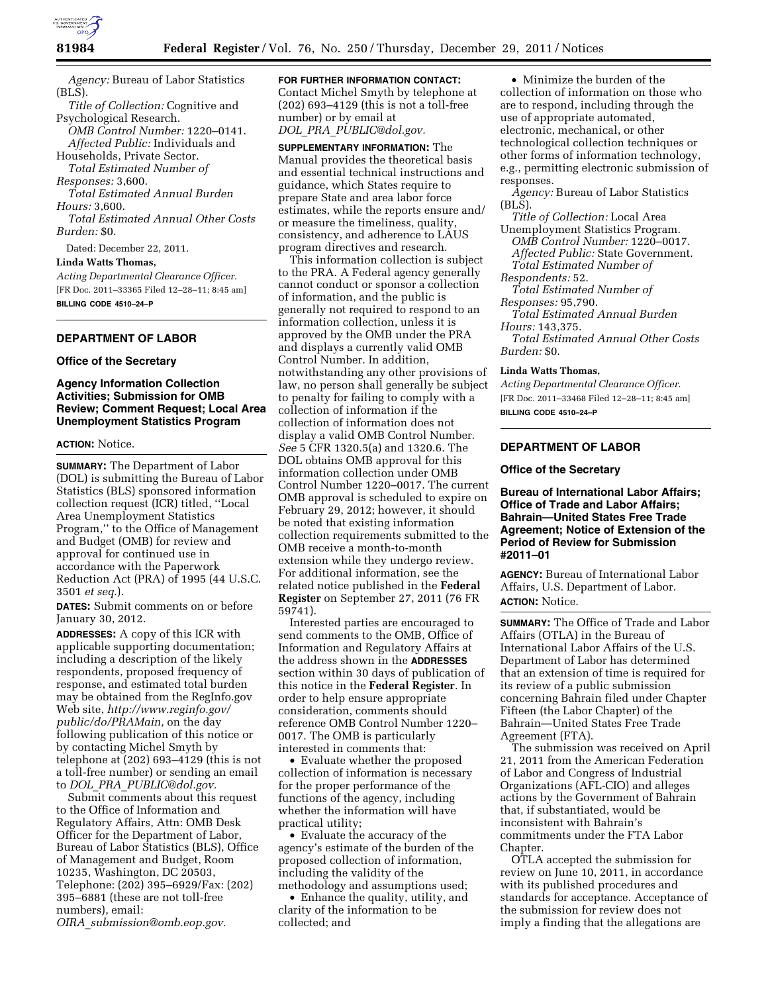

*Agency:* Bureau of Labor Statistics (BLS).

*Title of Collection:* Cognitive and Psychological Research. *OMB Control Number:* 1220–0141.

*Affected Public:* Individuals and Households, Private Sector.

*Total Estimated Number of Responses:* 3,600.

*Total Estimated Annual Burden Hours:* 3,600.

*Total Estimated Annual Other Costs Burden:* \$0.

Dated: December 22, 2011.

### **Linda Watts Thomas,**

*Acting Departmental Clearance Officer.*  [FR Doc. 2011–33365 Filed 12–28–11; 8:45 am] **BILLING CODE 4510–24–P** 

## **DEPARTMENT OF LABOR**

### **Office of the Secretary**

### **Agency Information Collection Activities; Submission for OMB Review; Comment Request; Local Area Unemployment Statistics Program**

### **ACTION:** Notice.

**SUMMARY:** The Department of Labor (DOL) is submitting the Bureau of Labor Statistics (BLS) sponsored information collection request (ICR) titled, ''Local Area Unemployment Statistics Program,'' to the Office of Management and Budget (OMB) for review and approval for continued use in accordance with the Paperwork Reduction Act (PRA) of 1995 (44 U.S.C. 3501 *et seq.*).

**DATES:** Submit comments on or before January 30, 2012.

**ADDRESSES:** A copy of this ICR with applicable supporting documentation; including a description of the likely respondents, proposed frequency of response, and estimated total burden may be obtained from the RegInfo.gov Web site, *[http://www.reginfo.gov/](http://www.reginfo.gov/public/do/PRAMain)  [public/do/PRAMain,](http://www.reginfo.gov/public/do/PRAMain)* on the day following publication of this notice or by contacting Michel Smyth by telephone at (202) 693–4129 (this is not a toll-free number) or sending an email to *DOL*\_*PRA*\_*[PUBLIC@dol.gov.](mailto:DOL_PRA_PUBLIC@dol.gov)* 

Submit comments about this request to the Office of Information and Regulatory Affairs, Attn: OMB Desk Officer for the Department of Labor, Bureau of Labor Statistics (BLS), Office of Management and Budget, Room 10235, Washington, DC 20503, Telephone: (202) 395–6929/Fax: (202) 395–6881 (these are not toll-free numbers), email:

*OIRA*\_*[submission@omb.eop.gov.](mailto:OIRA_submission@omb.eop.gov)* 

# **FOR FURTHER INFORMATION CONTACT:**

Contact Michel Smyth by telephone at (202) 693–4129 (this is not a toll-free number) or by email at *DOL*\_*PRA*\_*[PUBLIC@dol.gov.](mailto:DOL_PRA_PUBLIC@dol.gov)* 

**SUPPLEMENTARY INFORMATION:** The Manual provides the theoretical basis and essential technical instructions and guidance, which States require to prepare State and area labor force estimates, while the reports ensure and/ or measure the timeliness, quality, consistency, and adherence to LAUS program directives and research.

This information collection is subject to the PRA. A Federal agency generally cannot conduct or sponsor a collection of information, and the public is generally not required to respond to an information collection, unless it is approved by the OMB under the PRA and displays a currently valid OMB Control Number. In addition, notwithstanding any other provisions of law, no person shall generally be subject to penalty for failing to comply with a collection of information if the collection of information does not display a valid OMB Control Number. *See* 5 CFR 1320.5(a) and 1320.6. The DOL obtains OMB approval for this information collection under OMB Control Number 1220–0017. The current OMB approval is scheduled to expire on February 29, 2012; however, it should be noted that existing information collection requirements submitted to the OMB receive a month-to-month extension while they undergo review. For additional information, see the related notice published in the **Federal Register** on September 27, 2011 (76 FR 59741).

Interested parties are encouraged to send comments to the OMB, Office of Information and Regulatory Affairs at the address shown in the **ADDRESSES** section within 30 days of publication of this notice in the **Federal Register**. In order to help ensure appropriate consideration, comments should reference OMB Control Number 1220– 0017. The OMB is particularly interested in comments that:

• Evaluate whether the proposed collection of information is necessary for the proper performance of the functions of the agency, including whether the information will have practical utility;

• Evaluate the accuracy of the agency's estimate of the burden of the proposed collection of information, including the validity of the methodology and assumptions used;

• Enhance the quality, utility, and clarity of the information to be collected; and

• Minimize the burden of the collection of information on those who are to respond, including through the use of appropriate automated, electronic, mechanical, or other technological collection techniques or other forms of information technology, e.g., permitting electronic submission of responses.

*Agency:* Bureau of Labor Statistics  $(BLS)$ .

*Title of Collection:* Local Area Unemployment Statistics Program. *OMB Control Number:* 1220–0017.

*Affected Public:* State Government. *Total Estimated Number of* 

*Respondents:* 52.

*Total Estimated Number of Responses:* 95,790.

*Total Estimated Annual Burden Hours:* 143,375.

*Total Estimated Annual Other Costs Burden:* \$0.

### **Linda Watts Thomas,**

*Acting Departmental Clearance Officer.*  [FR Doc. 2011–33468 Filed 12–28–11; 8:45 am] **BILLING CODE 4510–24–P** 

### **DEPARTMENT OF LABOR**

### **Office of the Secretary**

**Bureau of International Labor Affairs; Office of Trade and Labor Affairs; Bahrain—United States Free Trade Agreement; Notice of Extension of the Period of Review for Submission #2011–01** 

**AGENCY:** Bureau of International Labor Affairs, U.S. Department of Labor. **ACTION:** Notice.

**SUMMARY:** The Office of Trade and Labor Affairs (OTLA) in the Bureau of International Labor Affairs of the U.S. Department of Labor has determined that an extension of time is required for its review of a public submission concerning Bahrain filed under Chapter Fifteen (the Labor Chapter) of the Bahrain—United States Free Trade Agreement (FTA).

The submission was received on April 21, 2011 from the American Federation of Labor and Congress of Industrial Organizations (AFL-CIO) and alleges actions by the Government of Bahrain that, if substantiated, would be inconsistent with Bahrain's commitments under the FTA Labor Chapter.

OTLA accepted the submission for review on June 10, 2011, in accordance with its published procedures and standards for acceptance. Acceptance of the submission for review does not imply a finding that the allegations are